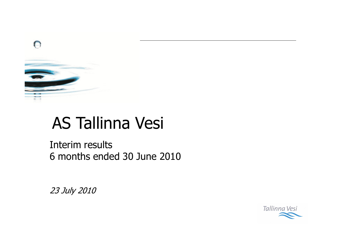

# **AS Tallinna Vesi**

Interim results 6 months ended 30 June 2010

23 July 2010

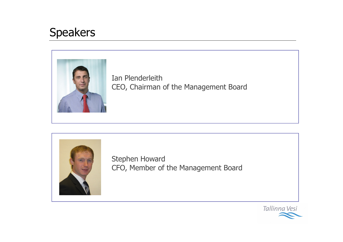## **Speakers**



Ian Plenderleith CEO, Chairman of the Management Board



Stephen Howard CFO, Member of the Management Board

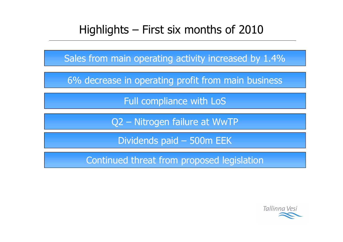## Highlights – First six months of 2010

Sales from main operating activity increased by 1.4%

6% decrease in operating profit from main business

Full compliance with LoS

Q2 - Nitrogen failure at WwTP

Dividends paid - 500m EEK

Continued threat from proposed legislation

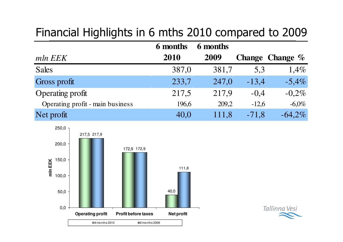## Financial Highlights in 6 mths 2010 compared to 2009

|                                  | 6 months | 6 months |         |                    |
|----------------------------------|----------|----------|---------|--------------------|
| mln EEK                          | 2010     | 2009     |         | Change Change $\%$ |
| <b>Sales</b>                     | 387,0    | 381,7    | 5,3     | $1,4\%$            |
| Gross profit                     | 233,7    | 247,0    | $-13,4$ | $-5,4%$            |
| <b>Operating profit</b>          | 217,5    | 217,9    | $-0.4$  | $-0.2\%$           |
| Operating profit - main business | 196,6    | 209,2    | $-12,6$ | $-6,0\%$           |
| Net profit                       | 40,0     | 111,8    | $-71,8$ | $-64,2%$           |



Tallinna Vesi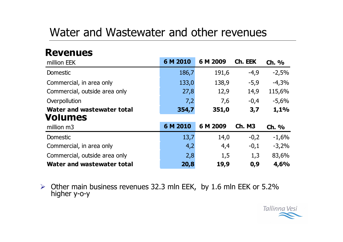## Water and Wastewater and other revenues

### **Revenues**

| million EEK                   | 6 M 2010 | 6 M 2009 | Ch. EEK       | Ch. %   |
|-------------------------------|----------|----------|---------------|---------|
| <b>Domestic</b>               | 186,7    | 191,6    | $-4,9$        | $-2,5%$ |
| Commercial, in area only      | 133,0    | 138,9    | $-5,9$        | $-4,3%$ |
| Commercial, outside area only | 27,8     | 12,9     | 14,9          | 115,6%  |
| Overpollution                 | 7,2      | 7,6      | $-0,4$        | $-5,6%$ |
| Water and wastewater total    | 354,7    | 351,0    | 3,7           | 1,1%    |
| <b>Volumes</b>                |          |          |               |         |
| million m3                    | 6 M 2010 | 6 M 2009 | <b>Ch. M3</b> | Ch. %   |
| <b>Domestic</b>               | 13,7     | 14,0     | $-0,2$        | $-1,6%$ |
| Commercial, in area only      | 4,2      | 4,4      | $-0,1$        | $-3,2%$ |
| Commercial, outside area only | 2,8      | 1,5      | 1,3           | 83,6%   |
| Water and wastewater total    | 20,8     | 19,9     | 0,9           | 4,6%    |

 $\triangleright$  Other main business revenues 32.3 mln EEK, by 1.6 mln EEK or 5.2% higher y-o-y

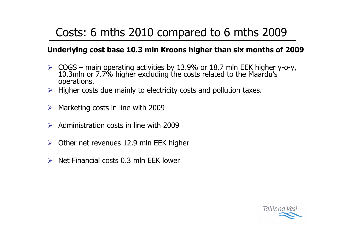## Costs: 6 mths 2010 compared to 6 mths 2009

#### Underlying cost base 10.3 mln Kroons higher than six months of 2009

- $\triangleright$  COGS main operating activities by 13.9% or 18.7 mln EEK higher y-o-y, 10.3 mln or 7.7% higher excluding the costs related to the Maardu's operations.
- $\triangleright$  Higher costs due mainly to electricity costs and pollution taxes.
- Marketing costs in line with 2009  $\blacktriangleright$
- $\triangleright$  Administration costs in line with 2009
- Other net revenues 12.9 mln EEK higher  $\blacktriangleright$
- Net Financial costs 0.3 mln FFK lower  $\blacktriangleright$

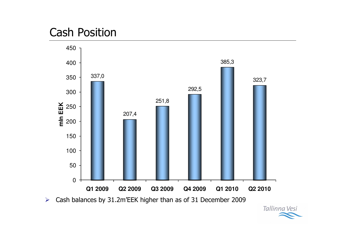## **Cash Position**



Tallinna Vesi